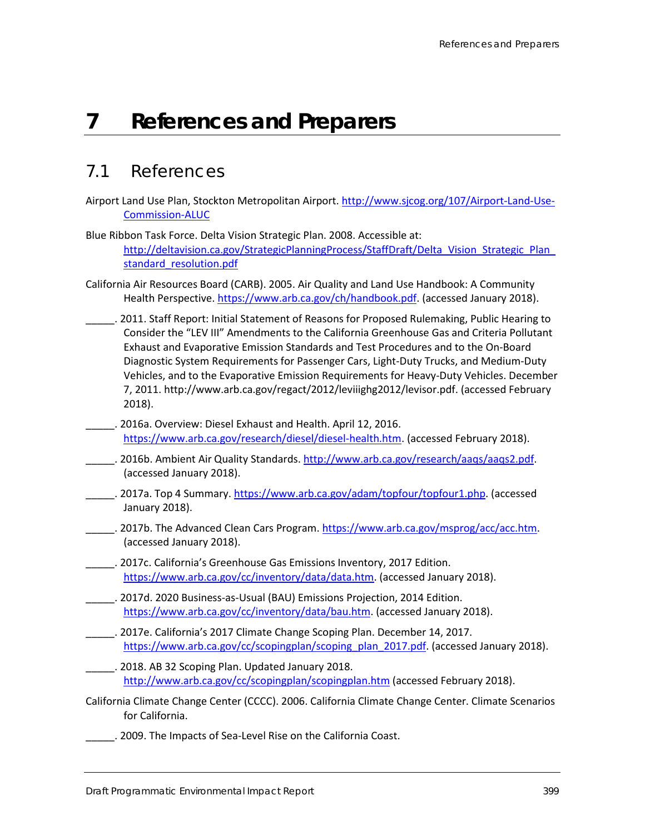# **7 References and Preparers**

## 7.1 References

- Airport Land Use Plan, Stockton Metropolitan Airport[. http://www.sjcog.org/107/Airport-Land-Use-](http://www.sjcog.org/107/Airport-Land-Use-Commission-ALUC)[Commission-ALUC](http://www.sjcog.org/107/Airport-Land-Use-Commission-ALUC)
- Blue Ribbon Task Force. Delta Vision Strategic Plan. 2008. Accessible at: http://deltavision.ca.gov/StrategicPlanningProcess/StaffDraft/Delta\_Vision\_Strategic\_Plan standard resolution.pdf
- California Air Resources Board (CARB). 2005. Air Quality and Land Use Handbook: A Community Health Perspective[. https://www.arb.ca.gov/ch/handbook.pdf.](https://www.arb.ca.gov/ch/handbook.pdf) (accessed January 2018).
	- \_\_\_\_\_. 2011. Staff Report: Initial Statement of Reasons for Proposed Rulemaking, Public Hearing to Consider the "LEV III" Amendments to the California Greenhouse Gas and Criteria Pollutant Exhaust and Evaporative Emission Standards and Test Procedures and to the On-Board Diagnostic System Requirements for Passenger Cars, Light-Duty Trucks, and Medium-Duty Vehicles, and to the Evaporative Emission Requirements for Heavy-Duty Vehicles. December 7, 2011. http://www.arb.ca.gov/regact/2012/leviiighg2012/levisor.pdf. (accessed February 2018).
- \_\_\_\_\_. 2016a. Overview: Diesel Exhaust and Health. April 12, 2016. [https://www.arb.ca.gov/research/diesel/diesel-health.htm.](https://www.arb.ca.gov/research/diesel/diesel-health.htm) (accessed February 2018).
- \_\_\_\_\_. 2016b. Ambient Air Quality Standards. [http://www.arb.ca.gov/research/aaqs/aaqs2.pdf.](http://www.arb.ca.gov/research/aaqs/aaqs2.pdf) (accessed January 2018).
- . 2017a. Top 4 Summary. [https://www.arb.ca.gov/adam/topfour/topfour1.php.](https://www.arb.ca.gov/adam/topfour/topfour1.php) (accessed January 2018).
- \_\_\_\_\_. 2017b. The Advanced Clean Cars Program. [https://www.arb.ca.gov/msprog/acc/acc.htm.](https://www.arb.ca.gov/msprog/acc/acc.htm) (accessed January 2018).
- \_\_\_\_\_. 2017c. California's Greenhouse Gas Emissions Inventory, 2017 Edition. [https://www.arb.ca.gov/cc/inventory/data/data.htm.](https://www.arb.ca.gov/cc/inventory/data/data.htm) (accessed January 2018).
- \_\_\_\_\_. 2017d. 2020 Business-as-Usual (BAU) Emissions Projection, 2014 Edition. [https://www.arb.ca.gov/cc/inventory/data/bau.htm.](https://www.arb.ca.gov/cc/inventory/data/bau.htm) (accessed January 2018).
- \_\_\_\_\_. 2017e. California's 2017 Climate Change Scoping Plan. December 14, 2017. [https://www.arb.ca.gov/cc/scopingplan/scoping\\_plan\\_2017.pdf.](https://www.arb.ca.gov/cc/scopingplan/scoping_plan_2017.pdf) (accessed January 2018).
- \_\_\_\_\_. 2018. AB 32 Scoping Plan. Updated January 2018. <http://www.arb.ca.gov/cc/scopingplan/scopingplan.htm> (accessed February 2018).
- California Climate Change Center (CCCC). 2006. California Climate Change Center. Climate Scenarios for California.
	- \_\_\_\_\_. 2009. The Impacts of Sea-Level Rise on the California Coast.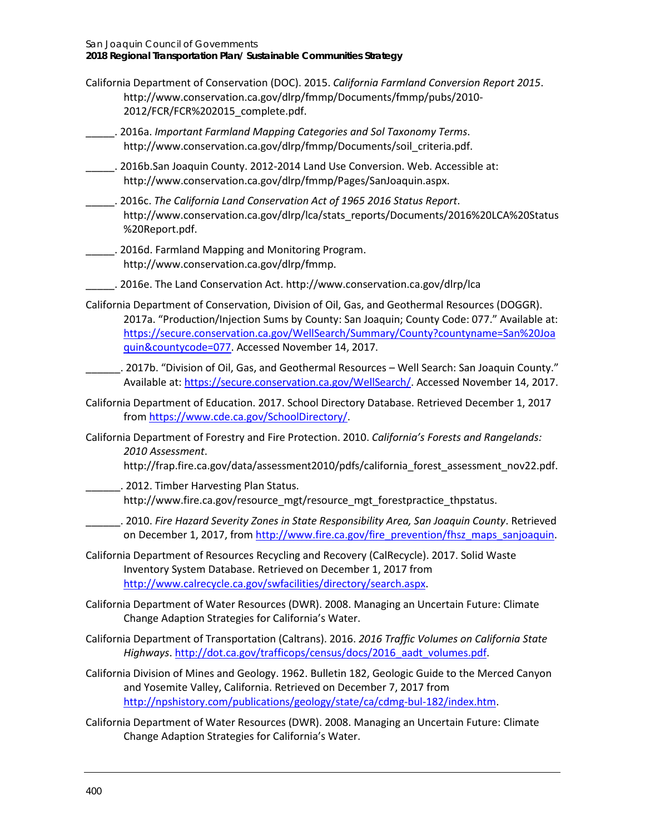- California Department of Conservation (DOC). 2015. *California Farmland Conversion Report 2015*. [http://www.conservation.ca.gov/dlrp/fmmp/Documents/fmmp/pubs/2010-](http://www.conservation.ca.gov/dlrp/fmmp/Documents/fmmp/pubs/2010-2012/FCR/FCR%202015_complete.pdf) [2012/FCR/FCR%202015\\_complete.pdf.](http://www.conservation.ca.gov/dlrp/fmmp/Documents/fmmp/pubs/2010-2012/FCR/FCR%202015_complete.pdf)
- \_\_\_\_\_. 2016a. *Important Farmland Mapping Categories and Sol Taxonomy Terms*. [http://www.conservation.ca.gov/dlrp/fmmp/Documents/soil\\_criteria.pdf.](http://www.conservation.ca.gov/dlrp/fmmp/Documents/soil_criteria.pdf)
- \_\_\_\_\_. 2016b.San Joaquin County. 2012-2014 Land Use Conversion. Web. Accessible at: http://www.conservation.ca.gov/dlrp/fmmp/Pages/SanJoaquin.aspx.
- \_\_\_\_\_. 2016c. *The California Land Conservation Act of 1965 2016 Status Report*. [http://www.conservation.ca.gov/dlrp/lca/stats\\_reports/Documents/2016%20LCA%20Status](http://www.conservation.ca.gov/dlrp/lca/stats_reports/Documents/2016%20LCA%20Status%20Report.pdf) [%20Report.pdf.](http://www.conservation.ca.gov/dlrp/lca/stats_reports/Documents/2016%20LCA%20Status%20Report.pdf)
- \_\_\_\_\_. 2016d. Farmland Mapping and Monitoring Program. [http://www.conservation.ca.gov/dlrp/fmmp.](http://www.conservation.ca.gov/dlrp/fmmp)
- \_\_\_\_\_. 2016e. The Land Conservation Act[. http://www.conservation.ca.gov/dlrp/lca](http://www.conservation.ca.gov/dlrp/lca)
- California Department of Conservation, Division of Oil, Gas, and Geothermal Resources (DOGGR). 2017a. "Production/Injection Sums by County: San Joaquin; County Code: 077." Available at: [https://secure.conservation.ca.gov/WellSearch/Summary/County?countyname=San%20Joa](https://secure.conservation.ca.gov/WellSearch/Summary/County?countyname=San%20Joaquin&countycode=077) [quin&countycode=077.](https://secure.conservation.ca.gov/WellSearch/Summary/County?countyname=San%20Joaquin&countycode=077) Accessed November 14, 2017.
- \_\_\_\_\_\_. 2017b. "Division of Oil, Gas, and Geothermal Resources Well Search: San Joaquin County." Available at: [https://secure.conservation.ca.gov/WellSearch/.](https://secure.conservation.ca.gov/WellSearch/) Accessed November 14, 2017.
- California Department of Education. 2017. School Directory Database. Retrieved December 1, 2017 fro[m https://www.cde.ca.gov/SchoolDirectory/.](https://www.cde.ca.gov/SchoolDirectory/)
- California Department of Forestry and Fire Protection. 2010. *California's Forests and Rangelands: 2010 Assessment*.
	- [http://frap.fire.ca.gov/data/assessment2010/pdfs/california\\_forest\\_assessment\\_nov22.pdf.](http://frap.fire.ca.gov/data/assessment2010/pdfs/california_forest_assessment_nov22.pdf)
- \_\_\_\_\_\_. 2012. Timber Harvesting Plan Status. [http://www.fire.ca.gov/resource\\_mgt/resource\\_mgt\\_forestpractice\\_thpstatus.](http://www.fire.ca.gov/resource_mgt/resource_mgt_forestpractice_thpstatus)

\_\_\_\_\_\_. 2010. *Fire Hazard Severity Zones in State Responsibility Area, San Joaquin County*. Retrieved on December 1, 2017, fro[m http://www.fire.ca.gov/fire\\_prevention/fhsz\\_maps\\_sanjoaquin.](http://www.fire.ca.gov/fire_prevention/fhsz_maps_sanjoaquin)

- California Department of Resources Recycling and Recovery (CalRecycle). 2017. Solid Waste Inventory System Database. Retrieved on December 1, 2017 from [http://www.calrecycle.ca.gov/swfacilities/directory/search.aspx.](http://www.calrecycle.ca.gov/swfacilities/directory/search.aspx)
- California Department of Water Resources (DWR). 2008. Managing an Uncertain Future: Climate Change Adaption Strategies for California's Water.
- California Department of Transportation (Caltrans). 2016. *2016 Traffic Volumes on California State Highways*. [http://dot.ca.gov/trafficops/census/docs/2016\\_aadt\\_volumes.pdf.](http://dot.ca.gov/trafficops/census/docs/2016_aadt_volumes.pdf)
- California Division of Mines and Geology. 1962. Bulletin 182, Geologic Guide to the Merced Canyon and Yosemite Valley, California. Retrieved on December 7, 2017 from [http://npshistory.com/publications/geology/state/ca/cdmg-bul-182/index.htm.](http://npshistory.com/publications/geology/state/ca/cdmg-bul-182/index.htm)
- California Department of Water Resources (DWR). 2008. Managing an Uncertain Future: Climate Change Adaption Strategies for California's Water.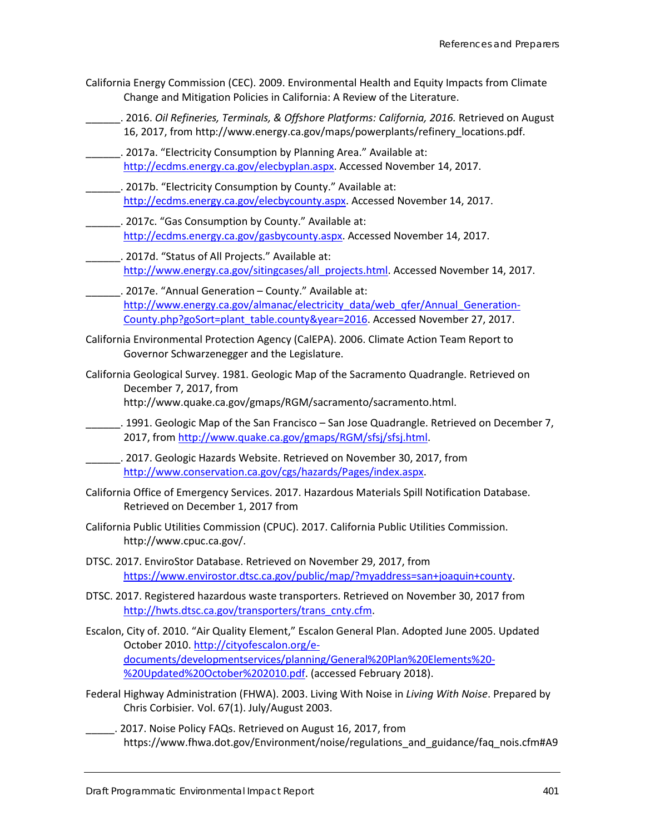- California Energy Commission (CEC). 2009. Environmental Health and Equity Impacts from Climate Change and Mitigation Policies in California: A Review of the Literature.
	- \_\_\_\_\_\_. 2016. *Oil Refineries, Terminals, & Offshore Platforms: California, 2016.* [Retrieved on August](http://www.energy.ca.gov/maps/powerplants/refinery_locations.pdf)  [16, 2017, from http://www.energy.ca.gov/maps/powerplants/refinery\\_locations.pdf.](http://www.energy.ca.gov/maps/powerplants/refinery_locations.pdf)
	- . 2017a. "Electricity Consumption by Planning Area." Available at: [http://ecdms.energy.ca.gov/elecbyplan.aspx.](http://ecdms.energy.ca.gov/elecbyplan.aspx) Accessed November 14, 2017.
	- . 2017b. "Electricity Consumption by County." Available at: [http://ecdms.energy.ca.gov/elecbycounty.aspx.](http://ecdms.energy.ca.gov/elecbycounty.aspx) Accessed November 14, 2017.
	- \_\_\_\_\_\_. 2017c. "Gas Consumption by County." Available at: [http://ecdms.energy.ca.gov/gasbycounty.aspx.](http://ecdms.energy.ca.gov/gasbycounty.aspx) Accessed November 14, 2017.
	- \_\_\_\_\_\_. 2017d. "Status of All Projects." Available at: [http://www.energy.ca.gov/sitingcases/all\\_projects.html.](http://www.energy.ca.gov/sitingcases/all_projects.html) Accessed November 14, 2017.
	- . 2017e. "Annual Generation County." Available at: [http://www.energy.ca.gov/almanac/electricity\\_data/web\\_qfer/Annual\\_Generation-](http://www.energy.ca.gov/almanac/electricity_data/web_qfer/Annual_Generation-County.php?goSort=plant_table.county&year=2016)[County.php?goSort=plant\\_table.county&year=2016.](http://www.energy.ca.gov/almanac/electricity_data/web_qfer/Annual_Generation-County.php?goSort=plant_table.county&year=2016) Accessed November 27, 2017.
- California Environmental Protection Agency (CalEPA). 2006. Climate Action Team Report to Governor Schwarzenegger and the Legislature.
- California Geological Survey. 1981. Geologic Map of the Sacramento Quadrangle. Retrieved on December 7, 2017, from http://www.quake.ca.gov/gmaps/RGM/sacramento/sacramento.html.
- \_\_\_\_\_\_. 1991. Geologic Map of the San Francisco San Jose Quadrangle. Retrieved on December 7, 2017, from [http://www.quake.ca.gov/gmaps/RGM/sfsj/sfsj.html.](http://www.quake.ca.gov/gmaps/RGM/sfsj/sfsj.html)
- \_\_\_\_\_\_. 2017. Geologic Hazards Website. Retrieved on November 30, 2017, from [http://www.conservation.ca.gov/cgs/hazards/Pages/index.aspx.](http://www.conservation.ca.gov/cgs/hazards/Pages/index.aspx)
- California Office of Emergency Services. 2017. Hazardous Materials Spill Notification Database. Retrieved on December 1, 2017 from
- California Public Utilities Commission (CPUC). 2017. California Public Utilities Commission. [http://www.cpuc.ca.gov/.](http://www.cpuc.ca.gov/)
- DTSC. 2017. EnviroStor Database. Retrieved on November 29, 2017, from [https://www.envirostor.dtsc.ca.gov/public/map/?myaddress=san+joaquin+county.](https://www.envirostor.dtsc.ca.gov/public/map/?myaddress=san+joaquin+county)
- DTSC. 2017. Registered hazardous waste transporters. Retrieved on November 30, 2017 from [http://hwts.dtsc.ca.gov/transporters/trans\\_cnty.cfm.](http://hwts.dtsc.ca.gov/transporters/trans_cnty.cfm)
- Escalon, City of. 2010. "Air Quality Element," Escalon General Plan. Adopted June 2005. Updated October 2010. [http://cityofescalon.org/e](http://cityofescalon.org/e-documents/developmentservices/planning/General%20Plan%20Elements%20-%20Updated%20October%202010.pdf)[documents/developmentservices/planning/General%20Plan%20Elements%20-](http://cityofescalon.org/e-documents/developmentservices/planning/General%20Plan%20Elements%20-%20Updated%20October%202010.pdf) [%20Updated%20October%202010.pdf.](http://cityofescalon.org/e-documents/developmentservices/planning/General%20Plan%20Elements%20-%20Updated%20October%202010.pdf) (accessed February 2018).
- Federal Highway Administration (FHWA). 2003. Living With Noise in *Living With Noise*. Prepared by Chris Corbisier*.* Vol. 67(1). July/August 2003.
- \_\_\_\_\_. 2017. Noise Policy FAQs. Retrieved on August 16, 2017, from https://www.fhwa.dot.gov/Environment/noise/regulations\_and\_guidance/faq\_nois.cfm#A9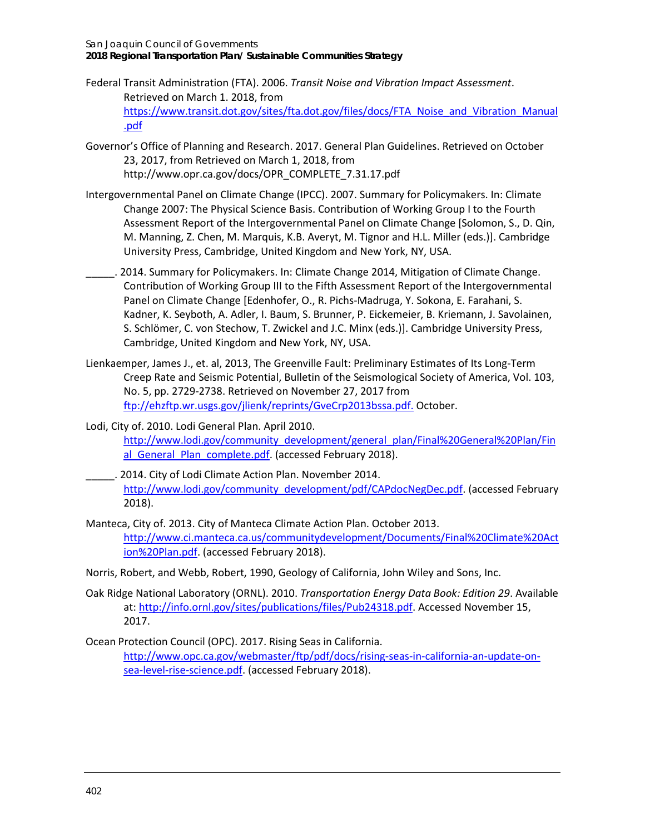San Joaquin Council of Governments **2018 Regional Transportation Plan/ Sustainable Communities Strategy**

- Federal Transit Administration (FTA). 2006. *Transit Noise and Vibration Impact Assessment*. Retrieved on March 1. 2018, from [https://www.transit.dot.gov/sites/fta.dot.gov/files/docs/FTA\\_Noise\\_and\\_Vibration\\_Manual](https://www.transit.dot.gov/sites/fta.dot.gov/files/docs/FTA_Noise_and_Vibration_Manual.pdf) [.pdf](https://www.transit.dot.gov/sites/fta.dot.gov/files/docs/FTA_Noise_and_Vibration_Manual.pdf)
- Governor's Office of Planning and Research. 2017. General Plan Guidelines. Retrieved on October 23, 2017, from Retrieved on March 1, 2018, from [http://www.opr.ca.gov/docs/OPR\\_COMPLETE\\_7.31.17.pdf](http://www.opr.ca.gov/docs/OPR_COMPLETE_7.31.17.pdf)
- Intergovernmental Panel on Climate Change (IPCC). 2007. Summary for Policymakers. In: Climate Change 2007: The Physical Science Basis. Contribution of Working Group I to the Fourth Assessment Report of the Intergovernmental Panel on Climate Change [Solomon, S., D. Qin, M. Manning, Z. Chen, M. Marquis, K.B. Averyt, M. Tignor and H.L. Miller (eds.)]. Cambridge University Press, Cambridge, United Kingdom and New York, NY, USA.
	- \_\_\_\_\_. 2014. Summary for Policymakers. In: Climate Change 2014, Mitigation of Climate Change. Contribution of Working Group III to the Fifth Assessment Report of the Intergovernmental Panel on Climate Change [Edenhofer, O., R. Pichs-Madruga, Y. Sokona, E. Farahani, S. Kadner, K. Seyboth, A. Adler, I. Baum, S. Brunner, P. Eickemeier, B. Kriemann, J. Savolainen, S. Schlömer, C. von Stechow, T. Zwickel and J.C. Minx (eds.)]. Cambridge University Press, Cambridge, United Kingdom and New York, NY, USA.
- Lienkaemper, James J., et. al, 2013, The Greenville Fault: Preliminary Estimates of Its Long-Term Creep Rate and Seismic Potential, Bulletin of the Seismological Society of America, Vol. 103, No. 5, pp. 2729-2738. Retrieved on November 27, 2017 from [ftp://ehzftp.wr.usgs.gov/jlienk/reprints/GveCrp2013bssa.pdf.](ftp://ehzftp.wr.usgs.gov/jlienk/reprints/GveCrp2013bssa.pdf) October.
- Lodi, City of. 2010. Lodi General Plan. April 2010. [http://www.lodi.gov/community\\_development/general\\_plan/Final%20General%20Plan/Fin](http://www.lodi.gov/community_development/general_plan/Final%20General%20Plan/Final_General_Plan_complete.pdf) al General Plan complete.pdf. (accessed February 2018).
- \_\_\_\_\_. 2014. City of Lodi Climate Action Plan. November 2014. [http://www.lodi.gov/community\\_development/pdf/CAPdocNegDec.pdf.](http://www.lodi.gov/community_development/pdf/CAPdocNegDec.pdf) (accessed February 2018).
- Manteca, City of. 2013. City of Manteca Climate Action Plan. October 2013. [http://www.ci.manteca.ca.us/communitydevelopment/Documents/Final%20Climate%20Act](http://www.ci.manteca.ca.us/communitydevelopment/Documents/Final%20Climate%20Action%20Plan.pdf) [ion%20Plan.pdf.](http://www.ci.manteca.ca.us/communitydevelopment/Documents/Final%20Climate%20Action%20Plan.pdf) (accessed February 2018).
- Norris, Robert, and Webb, Robert, 1990, Geology of California, John Wiley and Sons, Inc.
- Oak Ridge National Laboratory (ORNL). 2010. *Transportation Energy Data Book: Edition 29*. Available at[: http://info.ornl.gov/sites/publications/files/Pub24318.pdf.](http://info.ornl.gov/sites/publications/files/Pub24318.pdf) Accessed November 15, 2017.
- Ocean Protection Council (OPC). 2017. Rising Seas in California. [http://www.opc.ca.gov/webmaster/ftp/pdf/docs/rising-seas-in-california-an-update-on](http://www.opc.ca.gov/webmaster/ftp/pdf/docs/rising-seas-in-california-an-update-on-sea-level-rise-science.pdf)[sea-level-rise-science.pdf.](http://www.opc.ca.gov/webmaster/ftp/pdf/docs/rising-seas-in-california-an-update-on-sea-level-rise-science.pdf) (accessed February 2018).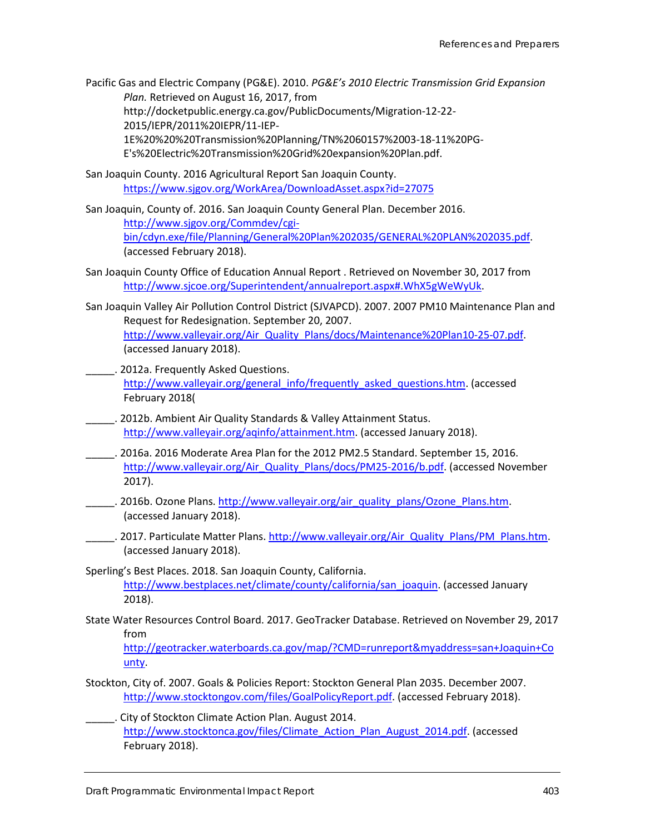- Pacific Gas and Electric Company (PG&E). 2010. *PG&E's 2010 Electric Transmission Grid Expansion Plan.* Retrieved on August 16, 2017, from http://docketpublic.energy.ca.gov/PublicDocuments/Migration-12-22- 2015/IEPR/2011%20IEPR/11-IEP-1E%20%20%20Transmission%20Planning/TN%2060157%2003-18-11%20PG-E's%20Electric%20Transmission%20Grid%20expansion%20Plan.pdf.
- San Joaquin County. 2016 Agricultural Report San Joaquin County. <https://www.sjgov.org/WorkArea/DownloadAsset.aspx?id=27075>
- San Joaquin, County of. 2016. San Joaquin County General Plan. December 2016. [http://www.sjgov.org/Commdev/cgi](http://www.sjgov.org/Commdev/cgi-bin/cdyn.exe/file/Planning/General%20Plan%202035/GENERAL%20PLAN%202035.pdf)[bin/cdyn.exe/file/Planning/General%20Plan%202035/GENERAL%20PLAN%202035.pdf.](http://www.sjgov.org/Commdev/cgi-bin/cdyn.exe/file/Planning/General%20Plan%202035/GENERAL%20PLAN%202035.pdf) (accessed February 2018).
- San Joaquin County Office of Education Annual Report . Retrieved on November 30, 2017 from [http://www.sjcoe.org/Superintendent/annualreport.aspx#.WhX5gWeWyUk.](http://www.sjcoe.org/Superintendent/annualreport.aspx#.WhX5gWeWyUk)
- San Joaquin Valley Air Pollution Control District (SJVAPCD). 2007. 2007 PM10 Maintenance Plan and Request for Redesignation. September 20, 2007. [http://www.valleyair.org/Air\\_Quality\\_Plans/docs/Maintenance%20Plan10-25-07.pdf.](http://www.valleyair.org/Air_Quality_Plans/docs/Maintenance%20Plan10-25-07.pdf) (accessed January 2018).
	- \_\_\_\_\_. 2012a. Frequently Asked Questions. [http://www.valleyair.org/general\\_info/frequently\\_asked\\_questions.htm.](http://www.valleyair.org/general_info/frequently_asked_questions.htm) (accessed February 2018(
- \_\_\_\_\_. 2012b. Ambient Air Quality Standards & Valley Attainment Status. [http://www.valleyair.org/aqinfo/attainment.htm.](http://www.valleyair.org/aqinfo/attainment.htm) (accessed January 2018).
- \_\_\_\_\_. 2016a. 2016 Moderate Area Plan for the 2012 PM2.5 Standard. September 15, 2016. [http://www.valleyair.org/Air\\_Quality\\_Plans/docs/PM25-2016/b.pdf.](http://www.valleyair.org/Air_Quality_Plans/docs/PM25-2016/b.pdf) (accessed November 2017).
- \_\_\_\_\_. 2016b. Ozone Plans. [http://www.valleyair.org/air\\_quality\\_plans/Ozone\\_Plans.htm.](http://www.valleyair.org/air_quality_plans/Ozone_Plans.htm) (accessed January 2018).
- \_\_\_\_\_\_. 2017. Particulate Matter Plans. [http://www.valleyair.org/Air\\_Quality\\_Plans/PM\\_Plans.htm.](http://www.valleyair.org/Air_Quality_Plans/PM_Plans.htm) (accessed January 2018).
- Sperling's Best Places. 2018. San Joaquin County, California. [http://www.bestplaces.net/climate/county/california/san\\_joaquin.](http://www.bestplaces.net/climate/county/california/san_joaquin) (accessed January 2018).
- State Water Resources Control Board. 2017. GeoTracker Database. Retrieved on November 29, 2017 from

[http://geotracker.waterboards.ca.gov/map/?CMD=runreport&myaddress=san+Joaquin+Co](http://geotracker.waterboards.ca.gov/map/?CMD=runreport&myaddress=san+Joaquin+County) [unty.](http://geotracker.waterboards.ca.gov/map/?CMD=runreport&myaddress=san+Joaquin+County)

- Stockton, City of. 2007. Goals & Policies Report: Stockton General Plan 2035. December 2007. [http://www.stocktongov.com/files/GoalPolicyReport.pdf.](http://www.stocktongov.com/files/GoalPolicyReport.pdf) (accessed February 2018).
- \_\_\_\_\_. City of Stockton Climate Action Plan. August 2014. [http://www.stocktonca.gov/files/Climate\\_Action\\_Plan\\_August\\_2014.pdf.](http://www.stocktonca.gov/files/Climate_Action_Plan_August_2014.pdf) (accessed February 2018).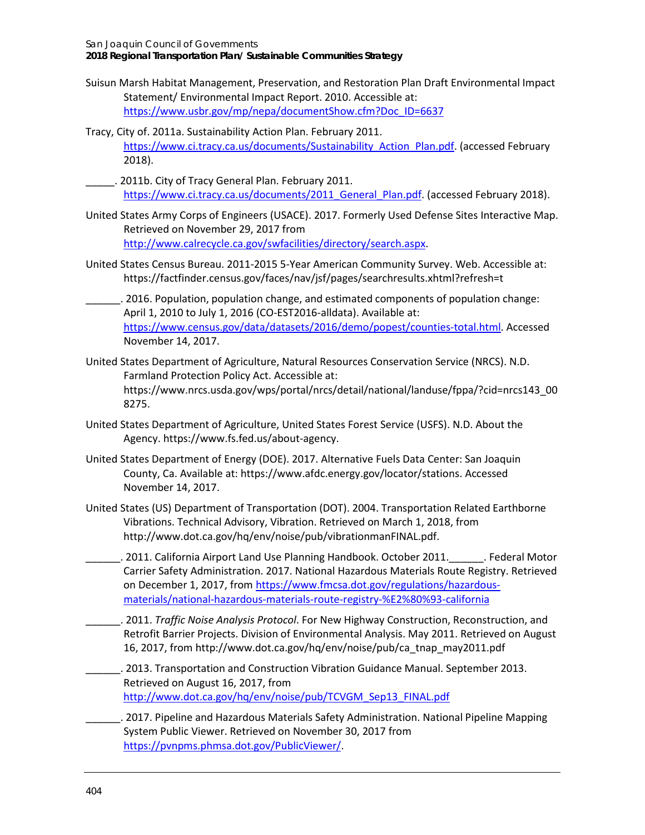- Suisun Marsh Habitat Management, Preservation, and Restoration Plan Draft Environmental Impact Statement/ Environmental Impact Report. 2010. Accessible at: [https://www.usbr.gov/mp/nepa/documentShow.cfm?Doc\\_ID=6637](https://www.usbr.gov/mp/nepa/documentShow.cfm?Doc_ID=6637)
- Tracy, City of. 2011a. Sustainability Action Plan. February 2011. [https://www.ci.tracy.ca.us/documents/Sustainability\\_Action\\_Plan.pdf.](https://www.ci.tracy.ca.us/documents/Sustainability_Action_Plan.pdf) (accessed February 2018).
- \_\_\_\_\_. 2011b. City of Tracy General Plan. February 2011. [https://www.ci.tracy.ca.us/documents/2011\\_General\\_Plan.pdf.](https://www.ci.tracy.ca.us/documents/2011_General_Plan.pdf) (accessed February 2018).
- United States Army Corps of Engineers (USACE). 2017. Formerly Used Defense Sites Interactive Map. Retrieved on November 29, 2017 from [http://www.calrecycle.ca.gov/swfacilities/directory/search.aspx.](http://www.calrecycle.ca.gov/swfacilities/directory/search.aspx)
- United States Census Bureau. 2011-2015 5-Year American Community Survey. Web. Accessible at: https://factfinder.census.gov/faces/nav/jsf/pages/searchresults.xhtml?refresh=t
- \_\_\_\_\_\_. 2016. Population, population change, and estimated components of population change: April 1, 2010 to July 1, 2016 (CO-EST2016-alldata). Available at: [https://www.census.gov/data/datasets/2016/demo/popest/counties-total.html.](https://www.census.gov/data/datasets/2016/demo/popest/counties-total.html) Accessed November 14, 2017.
- United States Department of Agriculture, Natural Resources Conservation Service (NRCS). N.D. Farmland Protection Policy Act. Accessible at: [https://www.nrcs.usda.gov/wps/portal/nrcs/detail/national/landuse/fppa/?cid=nrcs143\\_00](https://www.nrcs.usda.gov/wps/portal/nrcs/detail/national/landuse/fppa/?cid=nrcs143_008275) [8275.](https://www.nrcs.usda.gov/wps/portal/nrcs/detail/national/landuse/fppa/?cid=nrcs143_008275)
- United States Department of Agriculture, United States Forest Service (USFS). N.D. About the Agency. [https://www.fs.fed.us/about-agency.](https://www.fs.fed.us/about-agency)
- United States Department of Energy (DOE). 2017. Alternative Fuels Data Center: San Joaquin County, Ca. Available at: https://www.afdc.energy.gov/locator/stations. Accessed November 14, 2017.
- United States (US) Department of Transportation (DOT). 2004. Transportation Related Earthborne Vibrations. Technical Advisory, Vibration. Retrieved on March 1, 2018, from http://www.dot.ca.gov/hq/env/noise/pub/vibrationmanFINAL.pdf.
- \_\_\_\_\_\_. 2011. California Airport Land Use Planning Handbook. October 2011.\_\_\_\_\_\_. Federal Motor Carrier Safety Administration. 2017. National Hazardous Materials Route Registry. Retrieved on December 1, 2017, fro[m https://www.fmcsa.dot.gov/regulations/hazardous](https://www.fmcsa.dot.gov/regulations/hazardous-materials/national-hazardous-materials-route-registry-%E2%80%93-california)[materials/national-hazardous-materials-route-registry-%E2%80%93-california](https://www.fmcsa.dot.gov/regulations/hazardous-materials/national-hazardous-materials-route-registry-%E2%80%93-california)
	- \_\_\_\_\_\_. 2011. *Traffic Noise Analysis Protocol*. For New Highway Construction, Reconstruction, and Retrofit Barrier Projects. Division of Environmental Analysis. May 2011. Retrieved on August 16, 2017, from http://www.dot.ca.gov/hq/env/noise/pub/ca\_tnap\_may2011.pdf
- \_\_\_\_\_\_. 2013. Transportation and Construction Vibration Guidance Manual. September 2013. Retrieved on August 16, 2017, from [http://www.dot.ca.gov/hq/env/noise/pub/TCVGM\\_Sep13\\_FINAL.pdf](http://www.dot.ca.gov/hq/env/noise/pub/TCVGM_Sep13_FINAL.pdf)
- \_\_\_\_\_\_. 2017. Pipeline and Hazardous Materials Safety Administration. National Pipeline Mapping System Public Viewer. Retrieved on November 30, 2017 from [https://pvnpms.phmsa.dot.gov/PublicViewer/.](https://pvnpms.phmsa.dot.gov/PublicViewer/)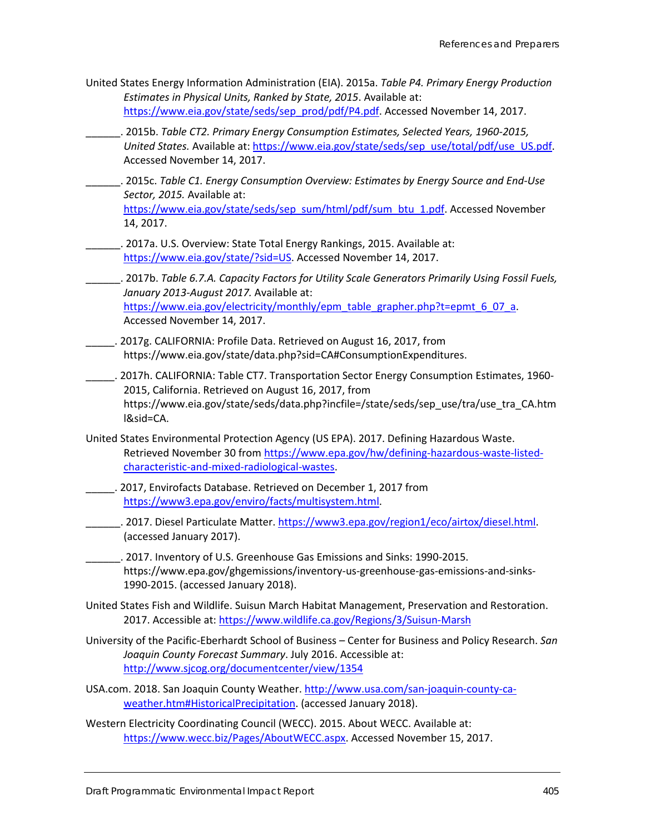- United States Energy Information Administration (EIA). 2015a. *Table P4. Primary Energy Production Estimates in Physical Units, Ranked by State, 2015*. Available at: [https://www.eia.gov/state/seds/sep\\_prod/pdf/P4.pdf.](https://www.eia.gov/state/seds/sep_prod/pdf/P4.pdf) Accessed November 14, 2017.
	- \_\_\_\_\_\_. 2015b. *Table CT2. Primary Energy Consumption Estimates, Selected Years, 1960-2015, United States.* Available at: [https://www.eia.gov/state/seds/sep\\_use/total/pdf/use\\_US.pdf.](https://www.eia.gov/state/seds/sep_use/total/pdf/use_US.pdf) Accessed November 14, 2017.
- \_\_\_\_\_\_. 2015c. *Table C1. Energy Consumption Overview: Estimates by Energy Source and End-Use Sector, 2015.* Available at: [https://www.eia.gov/state/seds/sep\\_sum/html/pdf/sum\\_btu\\_1.pdf.](https://www.eia.gov/state/seds/sep_sum/html/pdf/sum_btu_1.pdf) Accessed November
- \_\_\_\_\_\_. 2017a. U.S. Overview: State Total Energy Rankings, 2015. Available at: [https://www.eia.gov/state/?sid=US.](https://www.eia.gov/state/?sid=US) Accessed November 14, 2017.

14, 2017.

- \_\_\_\_\_\_. 2017b. *Table 6.7.A. Capacity Factors for Utility Scale Generators Primarily Using Fossil Fuels, January 2013-August 2017.* Available at: [https://www.eia.gov/electricity/monthly/epm\\_table\\_grapher.php?t=epmt\\_6\\_07\\_a.](https://www.eia.gov/electricity/monthly/epm_table_grapher.php?t=epmt_6_07_a) Accessed November 14, 2017.
- \_\_\_\_\_. 2017g. CALIFORNIA: Profile Data. [Retrieved on August 16, 2017, from](https://www.eia.gov/state/data.php?sid=CA#ConsumptionExpenditures)  [https://www.eia.gov/state/data.php?sid=CA#ConsumptionExpenditures.](https://www.eia.gov/state/data.php?sid=CA#ConsumptionExpenditures)
- \_\_\_\_\_. 2017h. CALIFORNIA: Table CT7. Transportation Sector Energy Consumption Estimates, 1960- 2015, California. [Retrieved on August 16, 2017, from](https://www.eia.gov/state/seds/data.php?incfile=/state/seds/sep_use/tra/use_tra_CA.html&sid=CA)  [https://www.eia.gov/state/seds/data.php?incfile=/state/seds/sep\\_use/tra/use\\_tra\\_CA.htm](https://www.eia.gov/state/seds/data.php?incfile=/state/seds/sep_use/tra/use_tra_CA.html&sid=CA) [l&sid=CA.](https://www.eia.gov/state/seds/data.php?incfile=/state/seds/sep_use/tra/use_tra_CA.html&sid=CA)
- United States Environmental Protection Agency (US EPA). 2017. Defining Hazardous Waste. Retrieved November 30 fro[m https://www.epa.gov/hw/defining-hazardous-waste-listed](https://www.epa.gov/hw/defining-hazardous-waste-listed-characteristic-and-mixed-radiological-wastes)[characteristic-and-mixed-radiological-wastes.](https://www.epa.gov/hw/defining-hazardous-waste-listed-characteristic-and-mixed-radiological-wastes)
- \_\_\_\_\_. 2017, Envirofacts Database. Retrieved on December 1, 2017 from [https://www3.epa.gov/enviro/facts/multisystem.html.](https://www3.epa.gov/enviro/facts/multisystem.html)
- . 2017. Diesel Particulate Matter. [https://www3.epa.gov/region1/eco/airtox/diesel.html.](https://www3.epa.gov/region1/eco/airtox/diesel.html) (accessed January 2017).
- \_\_\_\_\_\_. 2017. Inventory of U.S. Greenhouse Gas Emissions and Sinks: 1990-2015. [https://www.epa.gov/ghgemissions/inventory-us-greenhouse-gas-emissions-and-sinks-](https://www.epa.gov/ghgemissions/inventory-us-greenhouse-gas-emissions-and-sinks-1990-2015)[1990-2015.](https://www.epa.gov/ghgemissions/inventory-us-greenhouse-gas-emissions-and-sinks-1990-2015) (accessed January 2018).
- United States Fish and Wildlife. Suisun March Habitat Management, Preservation and Restoration. 2017. Accessible at:<https://www.wildlife.ca.gov/Regions/3/Suisun-Marsh>
- University of the Pacific-Eberhardt School of Business Center for Business and Policy Research. *San Joaquin County Forecast Summary*. July 2016. Accessible at: <http://www.sjcog.org/documentcenter/view/1354>
- USA.com. 2018. San Joaquin County Weather. [http://www.usa.com/san-joaquin-county-ca](http://www.usa.com/san-joaquin-county-ca-weather.htm#HistoricalPrecipitation)[weather.htm#HistoricalPrecipitation.](http://www.usa.com/san-joaquin-county-ca-weather.htm#HistoricalPrecipitation) (accessed January 2018).
- Western Electricity Coordinating Council (WECC). 2015. About WECC. Available at: [https://www.wecc.biz/Pages/AboutWECC.aspx.](https://www.wecc.biz/Pages/AboutWECC.aspx) Accessed November 15, 2017.